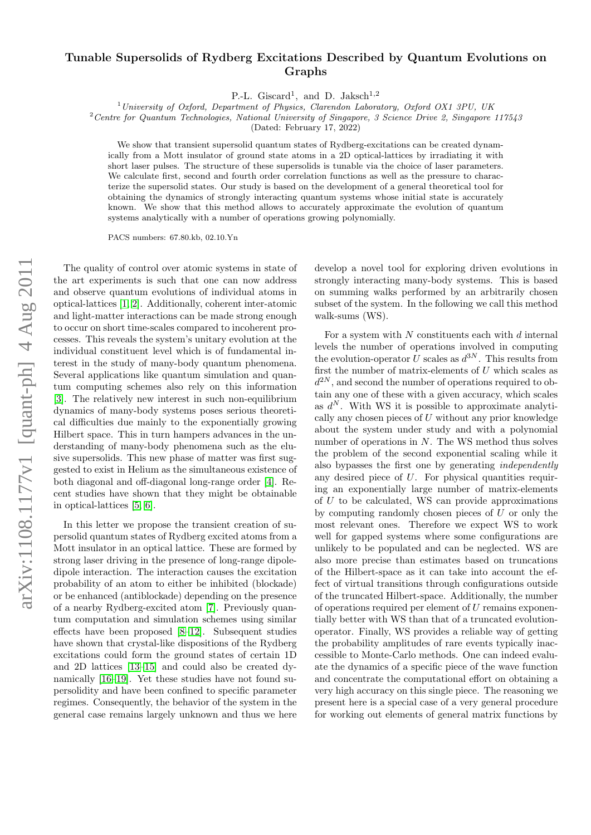## $arXiv:1108.1177v1$  [quant-ph]  $4 \text{ Aug } 2011$ arXiv:1108.1177v1 [quant-ph] 4 Aug 2011

## Tunable Supersolids of Rydberg Excitations Described by Quantum Evolutions on Graphs

P.-L. Giscard<sup>1</sup>, and D. Jaksch<sup>1,2</sup>

<sup>1</sup>University of Oxford, Department of Physics, Clarendon Laboratory, Oxford OX1 3PU, UK

 $2^2$ Centre for Quantum Technologies, National University of Singapore, 3 Science Drive 2, Singapore 117543

(Dated: February 17, 2022)

We show that transient supersolid quantum states of Rydberg-excitations can be created dynamically from a Mott insulator of ground state atoms in a 2D optical-lattices by irradiating it with short laser pulses. The structure of these supersolids is tunable via the choice of laser parameters. We calculate first, second and fourth order correlation functions as well as the pressure to characterize the supersolid states. Our study is based on the development of a general theoretical tool for obtaining the dynamics of strongly interacting quantum systems whose initial state is accurately known. We show that this method allows to accurately approximate the evolution of quantum systems analytically with a number of operations growing polynomially.

PACS numbers: 67.80.kb, 02.10.Yn

The quality of control over atomic systems in state of the art experiments is such that one can now address and observe quantum evolutions of individual atoms in optical-lattices [\[1,](#page-3-0) [2\]](#page-3-1). Additionally, coherent inter-atomic and light-matter interactions can be made strong enough to occur on short time-scales compared to incoherent processes. This reveals the system's unitary evolution at the individual constituent level which is of fundamental interest in the study of many-body quantum phenomena. Several applications like quantum simulation and quantum computing schemes also rely on this information [\[3\]](#page-4-0). The relatively new interest in such non-equilibrium dynamics of many-body systems poses serious theoretical difficulties due mainly to the exponentially growing Hilbert space. This in turn hampers advances in the understanding of many-body phenomena such as the elusive supersolids. This new phase of matter was first suggested to exist in Helium as the simultaneous existence of both diagonal and off-diagonal long-range order [\[4\]](#page-4-1). Recent studies have shown that they might be obtainable in optical-lattices [\[5,](#page-4-2) [6\]](#page-4-3).

In this letter we propose the transient creation of supersolid quantum states of Rydberg excited atoms from a Mott insulator in an optical lattice. These are formed by strong laser driving in the presence of long-range dipoledipole interaction. The interaction causes the excitation probability of an atom to either be inhibited (blockade) or be enhanced (antiblockade) depending on the presence of a nearby Rydberg-excited atom [\[7\]](#page-4-4). Previously quantum computation and simulation schemes using similar effects have been proposed [\[8](#page-4-5)[–12\]](#page-4-6). Subsequent studies have shown that crystal-like dispositions of the Rydberg excitations could form the ground states of certain 1D and 2D lattices [\[13–](#page-4-7)[15\]](#page-4-8) and could also be created dynamically [\[16](#page-4-9)[–19\]](#page-4-10). Yet these studies have not found supersolidity and have been confined to specific parameter regimes. Consequently, the behavior of the system in the general case remains largely unknown and thus we here

develop a novel tool for exploring driven evolutions in strongly interacting many-body systems. This is based on summing walks performed by an arbitrarily chosen subset of the system. In the following we call this method walk-sums (WS).

For a system with  $N$  constituents each with  $d$  internal levels the number of operations involved in computing the evolution-operator U scales as  $d^{3N}$ . This results from first the number of matrix-elements of  $U$  which scales as  $d^{2N}$ , and second the number of operations required to obtain any one of these with a given accuracy, which scales as  $d^N$ . With WS it is possible to approximate analytically any chosen pieces of  $U$  without any prior knowledge about the system under study and with a polynomial number of operations in  $N$ . The WS method thus solves the problem of the second exponential scaling while it also bypasses the first one by generating independently any desired piece of U. For physical quantities requiring an exponentially large number of matrix-elements of  $U$  to be calculated. WS can provide approximations by computing randomly chosen pieces of  $U$  or only the most relevant ones. Therefore we expect WS to work well for gapped systems where some configurations are unlikely to be populated and can be neglected. WS are also more precise than estimates based on truncations of the Hilbert-space as it can take into account the effect of virtual transitions through configurations outside of the truncated Hilbert-space. Additionally, the number of operations required per element of  $U$  remains exponentially better with WS than that of a truncated evolutionoperator. Finally, WS provides a reliable way of getting the probability amplitudes of rare events typically inaccessible to Monte-Carlo methods. One can indeed evaluate the dynamics of a specific piece of the wave function and concentrate the computational effort on obtaining a very high accuracy on this single piece. The reasoning we present here is a special case of a very general procedure for working out elements of general matrix functions by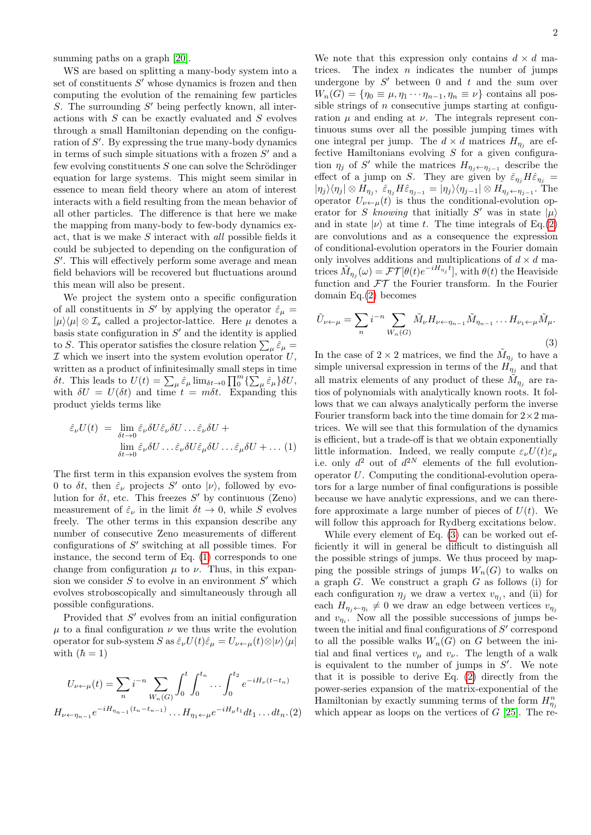summing paths on a graph  $[20]$ .

WS are based on splitting a many-body system into a set of constituents  $S'$  whose dynamics is frozen and then computing the evolution of the remaining few particles S. The surrounding  $S'$  being perfectly known, all interactions with S can be exactly evaluated and S evolves through a small Hamiltonian depending on the configuration of  $S'$ . By expressing the true many-body dynamics in terms of such simple situations with a frozen  $S'$  and a few evolving constituents  $S$  one can solve the Schrödinger equation for large systems. This might seem similar in essence to mean field theory where an atom of interest interacts with a field resulting from the mean behavior of all other particles. The difference is that here we make the mapping from many-body to few-body dynamics exact, that is we make S interact with all possible fields it could be subjected to depending on the configuration of  $S'$ . This will effectively perform some average and mean field behaviors will be recovered but fluctuations around this mean will also be present.

We project the system onto a specific configuration of all constituents in S' by applying the operator  $\hat{\varepsilon}_{\mu}$  =  $|\mu\rangle\langle\mu| \otimes I_s$  called a projector-lattice. Here  $\mu$  denotes a basis state configuration in  $S'$  and the identity is applied to S. This operator satisfies the closure relation  $\sum_{\mu} \hat{\varepsilon}_{\mu} =$  $I$  which we insert into the system evolution operator  $U$ , written as a product of infinitesimally small steps in time δt. This leads to  $U(t) = \sum_{\mu} \hat{\varepsilon}_{\mu} \lim_{\delta t \to 0} \prod_{0}^{m} {\sum_{\mu} \hat{\varepsilon}_{\mu}} \delta U$ , with  $\delta U = U(\delta t)$  and time  $t = m\delta t$ . Expanding this product yields terms like

<span id="page-1-0"></span>
$$
\hat{\varepsilon}_{\nu}U(t) = \lim_{\delta t \to 0} \hat{\varepsilon}_{\nu} \delta U \hat{\varepsilon}_{\nu} \delta U \dots \hat{\varepsilon}_{\nu} \delta U +
$$
  

$$
\lim_{\delta t \to 0} \hat{\varepsilon}_{\nu} \delta U \dots \hat{\varepsilon}_{\nu} \delta U \hat{\varepsilon}_{\mu} \delta U \dots \hat{\varepsilon}_{\mu} \delta U + \dots (1)
$$

The first term in this expansion evolves the system from 0 to  $\delta t$ , then  $\hat{\varepsilon}_{\nu}$  projects  $S'$  onto  $|\nu\rangle$ , followed by evolution for  $\delta t$ , etc. This freezes  $S'$  by continuous (Zeno) measurement of  $\hat{\varepsilon}_{\nu}$  in the limit  $\delta t \to 0$ , while S evolves freely. The other terms in this expansion describe any number of consecutive Zeno measurements of different configurations of  $S'$  switching at all possible times. For instance, the second term of Eq. [\(1\)](#page-1-0) corresponds to one change from configuration  $\mu$  to  $\nu$ . Thus, in this expansion we consider  $S$  to evolve in an environment  $S'$  which evolves stroboscopically and simultaneously through all possible configurations.

Provided that  $S'$  evolves from an initial configuration  $\mu$  to a final configuration  $\nu$  we thus write the evolution operator for sub-system S as  $\hat{\varepsilon}_{\nu}U(t)\hat{\varepsilon}_{\mu}=U_{\nu\leftarrow\mu}(t)\otimes|\nu\rangle\langle\mu|$ with  $(\hbar = 1)$ 

<span id="page-1-1"></span>
$$
U_{\nu \leftarrow \mu}(t) = \sum_{n} i^{-n} \sum_{W_n(G)} \int_0^t \int_0^{t_n} \dots \int_0^{t_2} e^{-iH_{\nu}(t - t_n)}
$$

$$
H_{\nu \leftarrow \eta_{n-1}} e^{-iH_{\eta_{n-1}}(t_n - t_{n-1})} \dots H_{\eta_1 \leftarrow \mu} e^{-iH_{\mu}t_1} dt_1 \dots dt_n. (2)
$$

We note that this expression only contains  $d \times d$  matrices. The index  $n$  indicates the number of jumps undergone by  $S'$  between 0 and  $t$  and the sum over  $W_n(G) = \{ \eta_0 \equiv \mu, \eta_1 \cdots \eta_{n-1}, \eta_n \equiv \nu \}$  contains all possible strings of  $n$  consecutive jumps starting at configuration  $\mu$  and ending at  $\nu$ . The integrals represent continuous sums over all the possible jumping times with one integral per jump. The  $d \times d$  matrices  $H_{\eta_j}$  are effective Hamiltonians evolving  $S$  for a given configuration  $\eta_j$  of S' while the matrices  $H_{\eta_j \leftarrow \eta_{j-1}}$  describe the effect of a jump on S. They are given by  $\hat{\varepsilon}_{\eta_j} H \hat{\varepsilon}_{\eta_j} =$  $|\eta_j\rangle\langle\eta_j|\otimes H_{\eta_j},\ \hat{\varepsilon}_{\eta_j}H\hat{\varepsilon}_{\eta_{j-1}}=|\eta_j\rangle\langle\eta_{j-1}|\otimes H_{\eta_j\leftarrow\eta_{j-1}}.$  The operator  $U_{\nu \leftarrow \mu}(t)$  is thus the conditional-evolution operator for S knowing that initially S' was in state  $|\mu\rangle$ and in state  $|\nu\rangle$  at time t. The time integrals of Eq.[\(2\)](#page-1-1) are convolutions and as a consequence the expression of conditional-evolution operators in the Fourier domain only involves additions and multiplications of  $d \times d$  matrices  $\tilde{M}_{\eta_j}(\omega) = \mathcal{FT}[\theta(t)e^{-iH_{\eta_j}t}],$  with  $\theta(t)$  the Heaviside function and  $FT$  the Fourier transform. In the Fourier domain Eq.[\(2\)](#page-1-1) becomes

<span id="page-1-2"></span>
$$
\tilde{U}_{\nu \leftarrow \mu} = \sum_{n} i^{-n} \sum_{W_n(G)} \tilde{M}_{\nu} H_{\nu \leftarrow \eta_{n-1}} \tilde{M}_{\eta_{n-1}} \dots H_{\nu_1 \leftarrow \mu} \tilde{M}_{\mu}.
$$
\n(3)

In the case of  $2 \times 2$  matrices, we find the  $\tilde{M}_{\eta_j}$  to have a simple universal expression in terms of the  $H_{\eta_j}$  and that all matrix elements of any product of these  $\tilde{M}_{\eta_j}$  are ratios of polynomials with analytically known roots. It follows that we can always analytically perform the inverse Fourier transform back into the time domain for  $2 \times 2$  matrices. We will see that this formulation of the dynamics is efficient, but a trade-off is that we obtain exponentially little information. Indeed, we really compute  $\varepsilon_{\nu}U(t)\varepsilon_{\mu}$ i.e. only  $d^2$  out of  $d^{2N}$  elements of the full evolutionoperator U. Computing the conditional-evolution operators for a large number of final configurations is possible because we have analytic expressions, and we can therefore approximate a large number of pieces of  $U(t)$ . We will follow this approach for Rydberg excitations below.

While every element of Eq. [\(3\)](#page-1-2) can be worked out efficiently it will in general be difficult to distinguish all the possible strings of jumps. We thus proceed by mapping the possible strings of jumps  $W_n(G)$  to walks on a graph  $G$ . We construct a graph  $G$  as follows (i) for each configuration  $\eta_j$  we draw a vertex  $v_{\eta_j}$ , and (ii) for each  $H_{\eta_j \leftarrow \eta_i} \neq 0$  we draw an edge between vertices  $v_{\eta_j}$ and  $v_{\eta_i}$ . Now all the possible successions of jumps between the initial and final configurations of  $S'$  correspond to all the possible walks  $W_n(G)$  on G between the initial and final vertices  $v_{\mu}$  and  $v_{\nu}$ . The length of a walk is equivalent to the number of jumps in  $S'$ . We note that it is possible to derive Eq. [\(2\)](#page-1-1) directly from the power-series expansion of the matrix-exponential of the Hamiltonian by exactly summing terms of the form  $H_{\eta_j}^n$ which appear as loops on the vertices of  $G$  [\[25\]](#page-4-12). The re-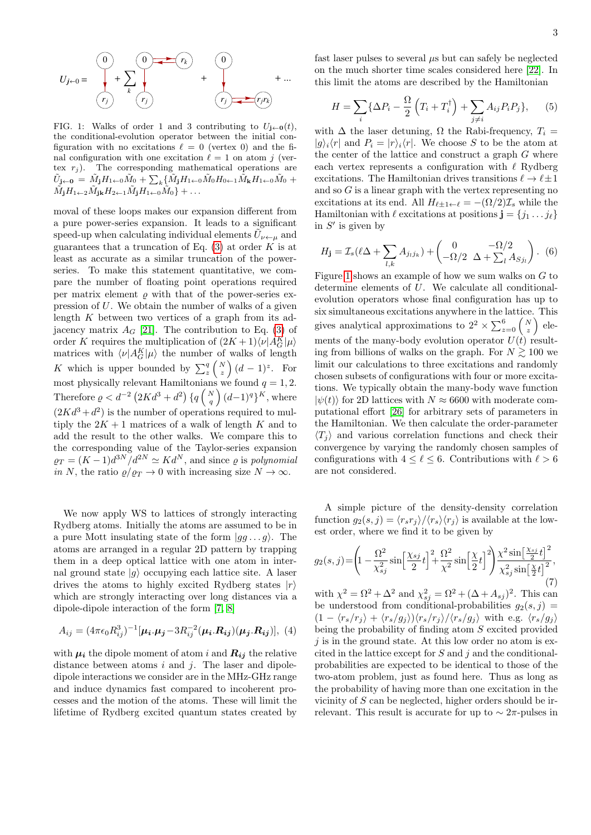$$
U_{j\leftarrow 0} = \begin{pmatrix} 0 & 0 & \cdots & r_k \\ 0 & 0 & \cdots & r_k \\ \vdots & \vdots & \ddots & \vdots \\ r_j & r_j & \cdots & r_j \end{pmatrix} + \begin{pmatrix} 0 & 0 & \cdots & r_{j} \\ r_{j} & r_{j} & \cdots & r_{j} \end{pmatrix} + \cdots
$$

<span id="page-2-0"></span>FIG. 1: Walks of order 1 and 3 contributing to  $U_{i\leftarrow 0}(t)$ , the conditional-evolution operator between the initial configuration with no excitations  $\ell = 0$  (vertex 0) and the final configuration with one excitation  $\ell = 1$  on atom j (vertex  $r_j$ ). The corresponding mathematical operations are  $\tilde{U}_{\bf{j}\leftarrow\bf{0}} \, = \, \tilde{M}_{\bf{j}} H_{1 \leftarrow 0} \tilde{M}_0 + \sum_k \{ \tilde{M}_{\bf{j}} H_{1 \leftarrow 0} \tilde{M}_0 H_{0 \leftarrow 1} \tilde{M}_{\bf{k}} H_{1 \leftarrow 0} \tilde{M}_0 \; +$  $\tilde{M}_jH_{1\leftarrow 2}\tilde{M}_{j\mathbf{k}}H_{2\leftarrow 1}\tilde{M}_jH_{1\leftarrow 0}\tilde{M}_0\}+\ldots$ 

moval of these loops makes our expansion different from a pure power-series expansion. It leads to a significant speed-up when calculating individual elements  $\tilde{U}_{\nu\leftarrow\mu}$  and guarantees that a truncation of Eq.  $(3)$  at order K is at least as accurate as a similar truncation of the powerseries. To make this statement quantitative, we compare the number of floating point operations required per matrix element  $\rho$  with that of the power-series expression of U. We obtain the number of walks of a given length  $K$  between two vertices of a graph from its adjacency matrix  $A_G$  [\[21\]](#page-4-13). The contribution to Eq. [\(3\)](#page-1-2) of order K requires the multiplication of  $(2K+1)\langle \nu | A_G^K | \mu \rangle$ matrices with  $\langle \nu | A_G^K | \mu \rangle$  the number of walks of length K which is upper bounded by  $\sum_{z}^{q} \binom{N}{z} (d-1)^{z}$ . For most physically relevant Hamiltonians we found  $q = 1, 2$ . Therefore  $\varrho < d^{-2} \left( 2Kd^3 + d^2 \right) \{ q \left( \frac{N}{q} \right) (d-1)^q \}^K$ , where  $(2Kd^3 + d^2)$  is the number of operations required to multiply the  $2K + 1$  matrices of a walk of length K and to add the result to the other walks. We compare this to the corresponding value of the Taylor-series expansion  $\rho_T = (K-1)d^{3N}/d^{2N} \simeq K d^N$ , and since  $\rho$  is polynomial in N, the ratio  $\rho/\rho_T \to 0$  with increasing size  $N \to \infty$ .

We now apply WS to lattices of strongly interacting Rydberg atoms. Initially the atoms are assumed to be in a pure Mott insulating state of the form  $|gg \dots g\rangle$ . The atoms are arranged in a regular 2D pattern by trapping them in a deep optical lattice with one atom in internal ground state  $|q\rangle$  occupying each lattice site. A laser drives the atoms to highly excited Rydberg states  $|r\rangle$ which are strongly interacting over long distances via a dipole-dipole interaction of the form [\[7,](#page-4-4) [8\]](#page-4-5)

$$
A_{ij} = (4\pi\epsilon_0 R_{ij}^3)^{-1} [\boldsymbol{\mu_i}.\boldsymbol{\mu_j} - 3R_{ij}^{-2} (\boldsymbol{\mu_i}.\boldsymbol{R_{ij}}) (\boldsymbol{\mu_j}.\boldsymbol{R_{ij}})],
$$
 (4)

with  $\mu_i$  the dipole moment of atom i and  $R_{ij}$  the relative distance between atoms  $i$  and  $j$ . The laser and dipoledipole interactions we consider are in the MHz-GHz range and induce dynamics fast compared to incoherent processes and the motion of the atoms. These will limit the lifetime of Rydberg excited quantum states created by

fast laser pulses to several  $\mu$ s but can safely be neglected on the much shorter time scales considered here [\[22\]](#page-4-14). In this limit the atoms are described by the Hamiltonian

$$
H = \sum_{i} \{ \Delta P_i - \frac{\Omega}{2} \left( T_i + T_i^{\dagger} \right) + \sum_{j \neq i} A_{ij} P_i P_j \}, \qquad (5)
$$

with  $\Delta$  the laser detuning,  $\Omega$  the Rabi-frequency,  $T_i =$  $|g\rangle_i\langle r|$  and  $P_i = |r\rangle_i\langle r|$ . We choose S to be the atom at the center of the lattice and construct a graph  $G$  where each vertex represents a configuration with  $\ell$  Rydberg excitations. The Hamiltonian drives transitions  $\ell \to \ell \pm 1$ and so  $G$  is a linear graph with the vertex representing no excitations at its end. All  $H_{\ell+1 \leftarrow \ell} = -(\Omega/2)\mathcal{I}_s$  while the Hamiltonian with  $\ell$  excitations at positions  $\mathbf{j} = \{j_1 \dots j_\ell\}$ in  $S'$  is given by

$$
H_{\mathbf{j}} = \mathcal{I}_s(\ell\Delta + \sum_{l,k} A_{j_l j_k}) + \begin{pmatrix} 0 & -\Omega/2 \\ -\Omega/2 & \Delta + \sum_l A_{S j_l} \end{pmatrix}.
$$
 (6)

Figure [1](#page-2-0) shows an example of how we sum walks on  $G$  to determine elements of U. We calculate all conditionalevolution operators whose final configuration has up to six simultaneous excitations anywhere in the lattice. This gives analytical approximations to  $2^2 \times \sum_{z=0}^{6} \binom{N}{z}$  elements of the many-body evolution operator  $U(t)$  resulting from billions of walks on the graph. For  $N \gtrsim 100$  we limit our calculations to three excitations and randomly chosen subsets of configurations with four or more excitations. We typically obtain the many-body wave function  $|\psi(t)\rangle$  for 2D lattices with  $N \approx 6600$  with moderate computational effort [\[26\]](#page-4-15) for arbitrary sets of parameters in the Hamiltonian. We then calculate the order-parameter  $\langle T_i \rangle$  and various correlation functions and check their convergence by varying the randomly chosen samples of configurations with  $4 \leq \ell \leq 6$ . Contributions with  $\ell > 6$ are not considered.

A simple picture of the density-density correlation function  $g_2(s, j) = \langle r_s r_j \rangle / \langle r_s \rangle \langle r_j \rangle$  is available at the lowest order, where we find it to be given by

<span id="page-2-1"></span>
$$
g_2(s,j) = \left(1 - \frac{\Omega^2}{\chi_{sj}^2} \sin\left[\frac{\chi_{sj}}{2}t\right] + \frac{\Omega^2}{\chi^2} \sin\left[\frac{\chi}{2}t\right]^2\right) \frac{\chi^2 \sin\left[\frac{\chi_{sj}}{2}t\right]^2}{\chi_{sj}^2 \sin\left[\frac{\chi}{2}t\right]^2},\tag{7}
$$

with  $\chi^2 = \Omega^2 + \Delta^2$  and  $\chi^2_{sj} = \Omega^2 + (\Delta + A_{sj})^2$ . This can be understood from conditional-probabilities  $g_2(s, j)$  =  $(1 - \langle r_s/r_j \rangle + \langle r_s/g_j \rangle) \langle r_s/r_j \rangle / \langle r_s/g_j \rangle$  with e.g.  $\langle r_s/g_j \rangle$ being the probability of finding atom S excited provided  $j$  is in the ground state. At this low order no atom is excited in the lattice except for  $S$  and  $j$  and the conditionalprobabilities are expected to be identical to those of the two-atom problem, just as found here. Thus as long as the probability of having more than one excitation in the vicinity of  $S$  can be neglected, higher orders should be irrelevant. This result is accurate for up to  $\sim 2\pi$ -pulses in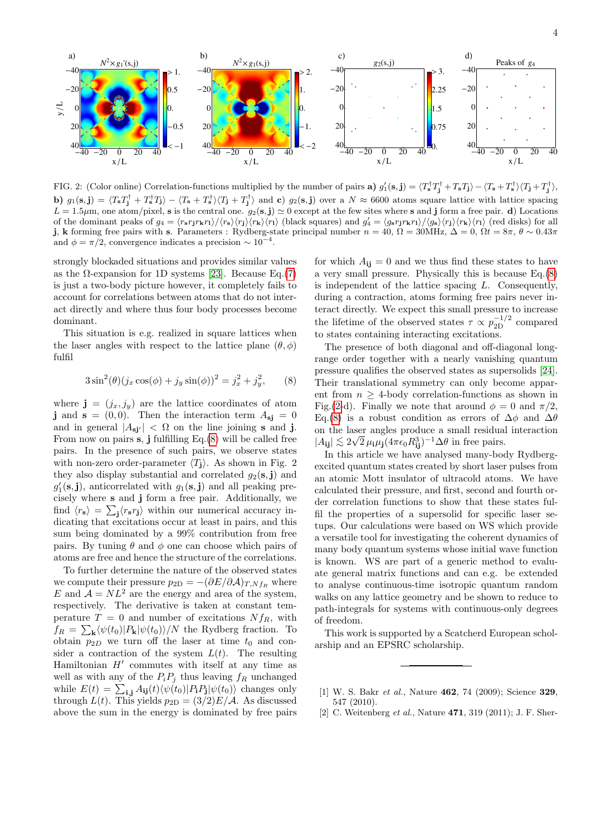

<span id="page-3-3"></span>FIG. 2: (Color online) Correlation-functions multiplied by the number of pairs **a**)  $g'_1(s, \mathbf{j}) = \langle T_s^{\dagger} T_s^{\dagger} + T_s T_s \rangle - \langle T_s + T_s^{\dagger} \rangle \langle T_{\mathbf{j}} + T_s^{\dagger} \rangle$ **b**)  $g_1(\mathbf{s}, \mathbf{j}) = \langle T_{\mathbf{s}} T_{\mathbf{j}}^{\dagger} + T_{\mathbf{s}}^{\dagger} T_{\mathbf{j}} \rangle - \langle T_{\mathbf{s}} + T_{\mathbf{s}}^{\dagger} \rangle \langle T_{\mathbf{j}} + T_{\mathbf{j}}^{\dagger} \rangle$  and **c**)  $g_2(\mathbf{s}, \mathbf{j})$  over a  $N \approx 6600$  atoms square lattice with lattice spacing  $L = 1.5 \mu$ m, one atom/pixel, s is the central one.  $g_2(s, j) \simeq 0$  except at the few sites where s and j form a free pair. d) Locations of the dominant peaks of  $g_4 = \langle r_s r_j r_k r_l \rangle / \langle r_s \rangle \langle r_l \rangle$  (black squares) and  $g'_4 = \langle g_s r_j r_k r_l \rangle / \langle g_s \rangle \langle r_j \rangle \langle r_k \rangle \langle r_l \rangle$  (red disks) for all j, k forming free pairs with s. Parameters : Rydberg-state principal number  $n = 40$ ,  $\Omega = 30$ MHz,  $\Delta = 0$ ,  $\Omega t = 8\pi$ ,  $\theta \sim 0.43\pi$ and  $\phi = \pi/2$ , convergence indicates a precision ~ 10<sup>-4</sup>.

strongly blockaded situations and provides similar values as the  $\Omega$ -expansion for 1D systems [\[23\]](#page-4-16). Because Eq.[\(7\)](#page-2-1) is just a two-body picture however, it completely fails to account for correlations between atoms that do not interact directly and where thus four body processes become dominant.

This situation is e.g. realized in square lattices when the laser angles with respect to the lattice plane  $(\theta, \phi)$ fulfil

<span id="page-3-2"></span>
$$
3\sin^2(\theta)(j_x\cos(\phi) + j_y\sin(\phi))^2 = j_x^2 + j_y^2,\qquad(8)
$$

where  $\mathbf{j} = (j_x, j_y)$  are the lattice coordinates of atom j and  $s = (0, 0)$ . Then the interaction term  $A_{si} = 0$ and in general  $|A_{\text{si}}| < \Omega$  on the line joining s and j. From now on pairs  $s$ , j fulfilling Eq.[\(8\)](#page-3-2) will be called free pairs. In the presence of such pairs, we observe states with non-zero order-parameter  $\langle T_1 \rangle$ . As shown in Fig. 2 they also display substantial and correlated  $g_2(s, j)$  and  $g'_1(\mathbf{s},\mathbf{j})$ , anticorrelated with  $g_1(\mathbf{s},\mathbf{j})$  and all peaking precisely where s and j form a free pair. Additionally, we find  $\langle r_s \rangle = \sum_j \langle r_s r_j \rangle$  within our numerical accuracy indicating that excitations occur at least in pairs, and this sum being dominated by a 99% contribution from free pairs. By tuning  $\theta$  and  $\phi$  one can choose which pairs of atoms are free and hence the structure of the correlations.

To further determine the nature of the observed states we compute their pressure  $p_{2D} = -(\partial E/\partial \mathcal{A})_{T,Nf_R}$  where E and  $A = NL^2$  are the energy and area of the system, respectively. The derivative is taken at constant temperature  $T = 0$  and number of excitations  $Nf_R$ , with  $f_R = \sum_{\mathbf{k}} \langle \psi(t_0) | P_{\mathbf{k}} | \psi(t_0) \rangle / N$  the Rydberg fraction. To obtain  $p_{2D}$  we turn off the laser at time  $t_0$  and consider a contraction of the system  $L(t)$ . The resulting Hamiltonian  $H'$  commutes with itself at any time as well as with any of the  $P_iP_j$  thus leaving  $f_R$  unchanged while  $E(t) = \sum_{i,j} A_{ij}(t) \langle \psi(t_0) | P_i P_j | \psi(t_0) \rangle$  changes only through  $L(t)$ . This yields  $p_{2D} = (3/2)E/A$ . As discussed above the sum in the energy is dominated by free pairs

for which  $A_{ii} = 0$  and we thus find these states to have a very small pressure. Physically this is because Eq.[\(8\)](#page-3-2) is independent of the lattice spacing L. Consequently, during a contraction, atoms forming free pairs never interact directly. We expect this small pressure to increase the lifetime of the observed states  $\tau \propto p_{2D}^{-1/2}$  compared to states containing interacting excitations.

The presence of both diagonal and off-diagonal longrange order together with a nearly vanishing quantum pressure qualifies the observed states as supersolids [\[24\]](#page-4-17). Their translational symmetry can only become apparent from  $n \geq 4$ -body correlation-functions as shown in Fig.[\(2-](#page-3-3)d). Finally we note that around  $\phi = 0$  and  $\pi/2$ , Eq.[\(8\)](#page-3-2) is a robust condition as errors of  $\Delta\phi$  and  $\Delta\theta$ on the laser angles produce a small residual interaction  $|A_{ij}| \lesssim 2\sqrt{2} \,\mu_i \mu_j (4\pi \epsilon_0 R_{ij}^3)^{-1} \Delta \theta$  in free pairs.

In this article we have analysed many-body Rydbergexcited quantum states created by short laser pulses from an atomic Mott insulator of ultracold atoms. We have calculated their pressure, and first, second and fourth order correlation functions to show that these states fulfil the properties of a supersolid for specific laser setups. Our calculations were based on WS which provide a versatile tool for investigating the coherent dynamics of many body quantum systems whose initial wave function is known. WS are part of a generic method to evaluate general matrix functions and can e.g. be extended to analyse continuous-time isotropic quantum random walks on any lattice geometry and be shown to reduce to path-integrals for systems with continuous-only degrees of freedom.

This work is supported by a Scatcherd European scholarship and an EPSRC scholarship.

<span id="page-3-0"></span><sup>[1]</sup> W. S. Bakr *et al.*, Nature **462**, 74 (2009); Science **329**, 547 (2010).

<span id="page-3-1"></span><sup>[2]</sup> C. Weitenberg *et al.*, Nature **471**, 319 (2011); J. F. Sher-